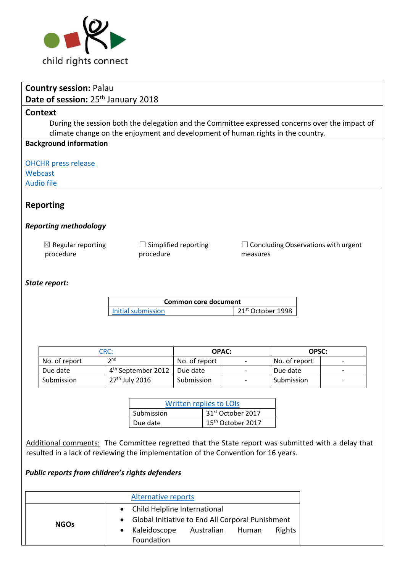

|                              | <b>Country session: Palau</b>                                                                                                          |                            |                                |                                |  |                               |               |  |                                            |  |  |
|------------------------------|----------------------------------------------------------------------------------------------------------------------------------------|----------------------------|--------------------------------|--------------------------------|--|-------------------------------|---------------|--|--------------------------------------------|--|--|
|                              | Date of session: 25 <sup>th</sup> January 2018                                                                                         |                            |                                |                                |  |                               |               |  |                                            |  |  |
|                              | <b>Context</b>                                                                                                                         |                            |                                |                                |  |                               |               |  |                                            |  |  |
|                              | During the session both the delegation and the Committee expressed concerns over the impact of                                         |                            |                                |                                |  |                               |               |  |                                            |  |  |
|                              | climate change on the enjoyment and development of human rights in the country.                                                        |                            |                                |                                |  |                               |               |  |                                            |  |  |
|                              | <b>Background information</b>                                                                                                          |                            |                                |                                |  |                               |               |  |                                            |  |  |
|                              |                                                                                                                                        |                            |                                |                                |  |                               |               |  |                                            |  |  |
|                              | <b>OHCHR</b> press release                                                                                                             |                            |                                |                                |  |                               |               |  |                                            |  |  |
|                              | Webcast                                                                                                                                |                            |                                |                                |  |                               |               |  |                                            |  |  |
|                              | <b>Audio file</b>                                                                                                                      |                            |                                |                                |  |                               |               |  |                                            |  |  |
|                              |                                                                                                                                        |                            |                                |                                |  |                               |               |  |                                            |  |  |
|                              | <b>Reporting</b>                                                                                                                       |                            |                                |                                |  |                               |               |  |                                            |  |  |
|                              |                                                                                                                                        |                            |                                |                                |  |                               |               |  |                                            |  |  |
| <b>Reporting methodology</b> |                                                                                                                                        |                            |                                |                                |  |                               |               |  |                                            |  |  |
|                              |                                                                                                                                        |                            |                                |                                |  |                               |               |  |                                            |  |  |
|                              | $\boxtimes$ Regular reporting                                                                                                          |                            | $\Box$ Simplified reporting    |                                |  |                               |               |  | $\Box$ Concluding Observations with urgent |  |  |
|                              | procedure                                                                                                                              |                            | procedure                      |                                |  | measures                      |               |  |                                            |  |  |
|                              |                                                                                                                                        |                            |                                |                                |  |                               |               |  |                                            |  |  |
|                              |                                                                                                                                        |                            |                                |                                |  |                               |               |  |                                            |  |  |
|                              | State report:                                                                                                                          |                            |                                |                                |  |                               |               |  |                                            |  |  |
|                              |                                                                                                                                        |                            |                                | <b>Common core document</b>    |  |                               |               |  |                                            |  |  |
|                              |                                                                                                                                        |                            | <b>Initial submission</b>      |                                |  | 21 <sup>st</sup> October 1998 |               |  |                                            |  |  |
|                              |                                                                                                                                        |                            |                                |                                |  |                               |               |  |                                            |  |  |
|                              |                                                                                                                                        |                            |                                |                                |  |                               |               |  |                                            |  |  |
|                              |                                                                                                                                        |                            |                                |                                |  |                               |               |  |                                            |  |  |
|                              |                                                                                                                                        | CRC:                       |                                | <b>OPAC:</b>                   |  | OPSC:                         |               |  |                                            |  |  |
|                              | No. of report                                                                                                                          | 2 <sup>nd</sup>            |                                | No. of report                  |  |                               | No. of report |  |                                            |  |  |
|                              | Due date                                                                                                                               |                            | 4 <sup>th</sup> September 2012 | Due date                       |  |                               | Due date      |  |                                            |  |  |
|                              | Submission                                                                                                                             | 27 <sup>th</sup> July 2016 |                                | Submission                     |  |                               | Submission    |  |                                            |  |  |
|                              |                                                                                                                                        |                            |                                |                                |  |                               |               |  |                                            |  |  |
|                              |                                                                                                                                        |                            |                                | <b>Written replies to LOIS</b> |  |                               |               |  |                                            |  |  |
|                              |                                                                                                                                        |                            | Submission                     | 31st October 2017              |  |                               |               |  |                                            |  |  |
|                              |                                                                                                                                        |                            | Due date                       | 15 <sup>th</sup> October 2017  |  |                               |               |  |                                            |  |  |
|                              |                                                                                                                                        |                            |                                |                                |  |                               |               |  |                                            |  |  |
|                              | Additional comments: The Committee regretted that the State report was submitted with a delay that                                     |                            |                                |                                |  |                               |               |  |                                            |  |  |
|                              | resulted in a lack of reviewing the implementation of the Convention for 16 years.                                                     |                            |                                |                                |  |                               |               |  |                                            |  |  |
|                              |                                                                                                                                        |                            |                                |                                |  |                               |               |  |                                            |  |  |
|                              | Public reports from children's rights defenders                                                                                        |                            |                                |                                |  |                               |               |  |                                            |  |  |
|                              |                                                                                                                                        |                            |                                |                                |  |                               |               |  |                                            |  |  |
|                              |                                                                                                                                        |                            | <b>Alternative reports</b>     |                                |  |                               |               |  |                                            |  |  |
|                              |                                                                                                                                        | ٠                          |                                |                                |  |                               |               |  |                                            |  |  |
|                              | Child Helpline International<br>Global Initiative to End All Corporal Punishment<br><b>NGOs</b><br>Kaleidoscope<br>Australian<br>Human |                            |                                |                                |  |                               |               |  |                                            |  |  |
|                              |                                                                                                                                        |                            |                                |                                |  |                               |               |  |                                            |  |  |
|                              | Rights<br>Foundation                                                                                                                   |                            |                                |                                |  |                               |               |  |                                            |  |  |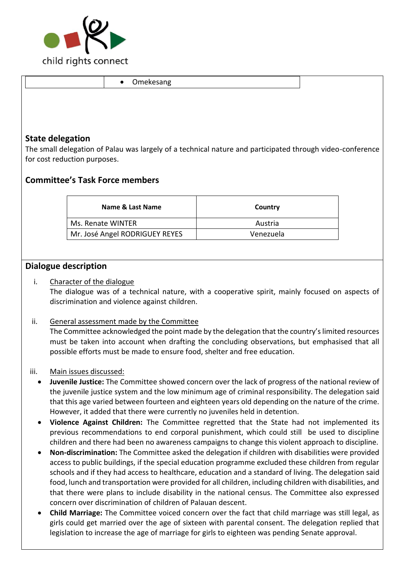

|                         | Omekesang<br>$\bullet$                                                                                    |           |  |
|-------------------------|-----------------------------------------------------------------------------------------------------------|-----------|--|
|                         |                                                                                                           |           |  |
|                         |                                                                                                           |           |  |
|                         |                                                                                                           |           |  |
| <b>State delegation</b> |                                                                                                           |           |  |
|                         | The small delegation of Palau was largely of a technical nature and participated through video-conference |           |  |
|                         | for cost reduction purposes.                                                                              |           |  |
|                         | <b>Committee's Task Force members</b>                                                                     |           |  |
|                         |                                                                                                           |           |  |
|                         | Name & Last Name                                                                                          | Country   |  |
| Ms. Renate WINTER       |                                                                                                           | Austria   |  |
|                         | Mr. José Angel RODRIGUEY REYES                                                                            | Venezuela |  |

## **Dialogue description**

### i. Character of the dialogue

The dialogue was of a technical nature, with a cooperative spirit, mainly focused on aspects of discrimination and violence against children.

#### ii. General assessment made by the Committee

The Committee acknowledged the point made by the delegation that the country's limited resources must be taken into account when drafting the concluding observations, but emphasised that all possible efforts must be made to ensure food, shelter and free education.

#### iii. Main issues discussed:

- **Juvenile Justice:** The Committee showed concern over the lack of progress of the national review of the juvenile justice system and the low minimum age of criminal responsibility. The delegation said that this age varied between fourteen and eighteen years old depending on the nature of the crime. However, it added that there were currently no juveniles held in detention.
- **Violence Against Children:** The Committee regretted that the State had not implemented its previous recommendations to end corporal punishment, which could still be used to discipline children and there had been no awareness campaigns to change this violent approach to discipline.
- **Non-discrimination:** The Committee asked the delegation if children with disabilities were provided access to public buildings, if the special education programme excluded these children from regular schools and if they had access to healthcare, education and a standard of living. The delegation said food, lunch and transportation were provided for all children, including children with disabilities, and that there were plans to include disability in the national census. The Committee also expressed concern over discrimination of children of Palauan descent.
- **Child Marriage:** The Committee voiced concern over the fact that child marriage was still legal, as girls could get married over the age of sixteen with parental consent. The delegation replied that legislation to increase the age of marriage for girls to eighteen was pending Senate approval.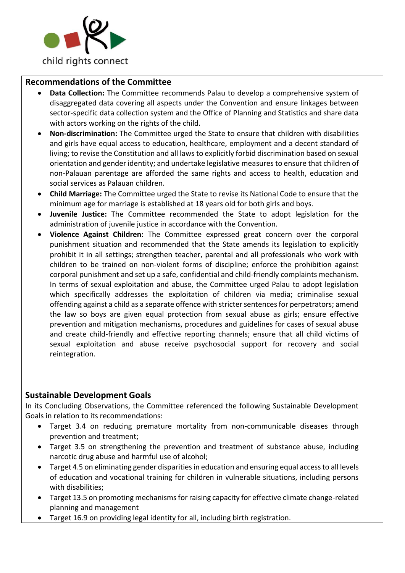

## **Recommendations of the Committee**

- **Data Collection:** The Committee recommends Palau to develop a comprehensive system of disaggregated data covering all aspects under the Convention and ensure linkages between sector-specific data collection system and the Office of Planning and Statistics and share data with actors working on the rights of the child.
- **Non-discrimination:** The Committee urged the State to ensure that children with disabilities and girls have equal access to education, healthcare, employment and a decent standard of living; to revise the Constitution and all laws to explicitly forbid discrimination based on sexual orientation and gender identity; and undertake legislative measures to ensure that children of non-Palauan parentage are afforded the same rights and access to health, education and social services as Palauan children.
- **Child Marriage:** The Committee urged the State to revise its National Code to ensure that the minimum age for marriage is established at 18 years old for both girls and boys.
- **Juvenile Justice:** The Committee recommended the State to adopt legislation for the administration of juvenile justice in accordance with the Convention.
- **Violence Against Children:** The Committee expressed great concern over the corporal punishment situation and recommended that the State amends its legislation to explicitly prohibit it in all settings; strengthen teacher, parental and all professionals who work with children to be trained on non-violent forms of discipline; enforce the prohibition against corporal punishment and set up a safe, confidential and child-friendly complaints mechanism. In terms of sexual exploitation and abuse, the Committee urged Palau to adopt legislation which specifically addresses the exploitation of children via media; criminalise sexual offending against a child as a separate offence with stricter sentences for perpetrators; amend the law so boys are given equal protection from sexual abuse as girls; ensure effective prevention and mitigation mechanisms, procedures and guidelines for cases of sexual abuse and create child-friendly and effective reporting channels; ensure that all child victims of sexual exploitation and abuse receive psychosocial support for recovery and social reintegration.

#### **Sustainable Development Goals**

In its Concluding Observations, the Committee referenced the following Sustainable Development Goals in relation to its recommendations:

- Target 3.4 on reducing premature mortality from non-communicable diseases through prevention and treatment;
- Target 3.5 on strengthening the prevention and treatment of substance abuse, including narcotic drug abuse and harmful use of alcohol;
- Target 4.5 on eliminating gender disparities in education and ensuring equal access to all levels of education and vocational training for children in vulnerable situations, including persons with disabilities;
- Target 13.5 on promoting mechanisms for raising capacity for effective climate change-related planning and management
- Target 16.9 on providing legal identity for all, including birth registration.